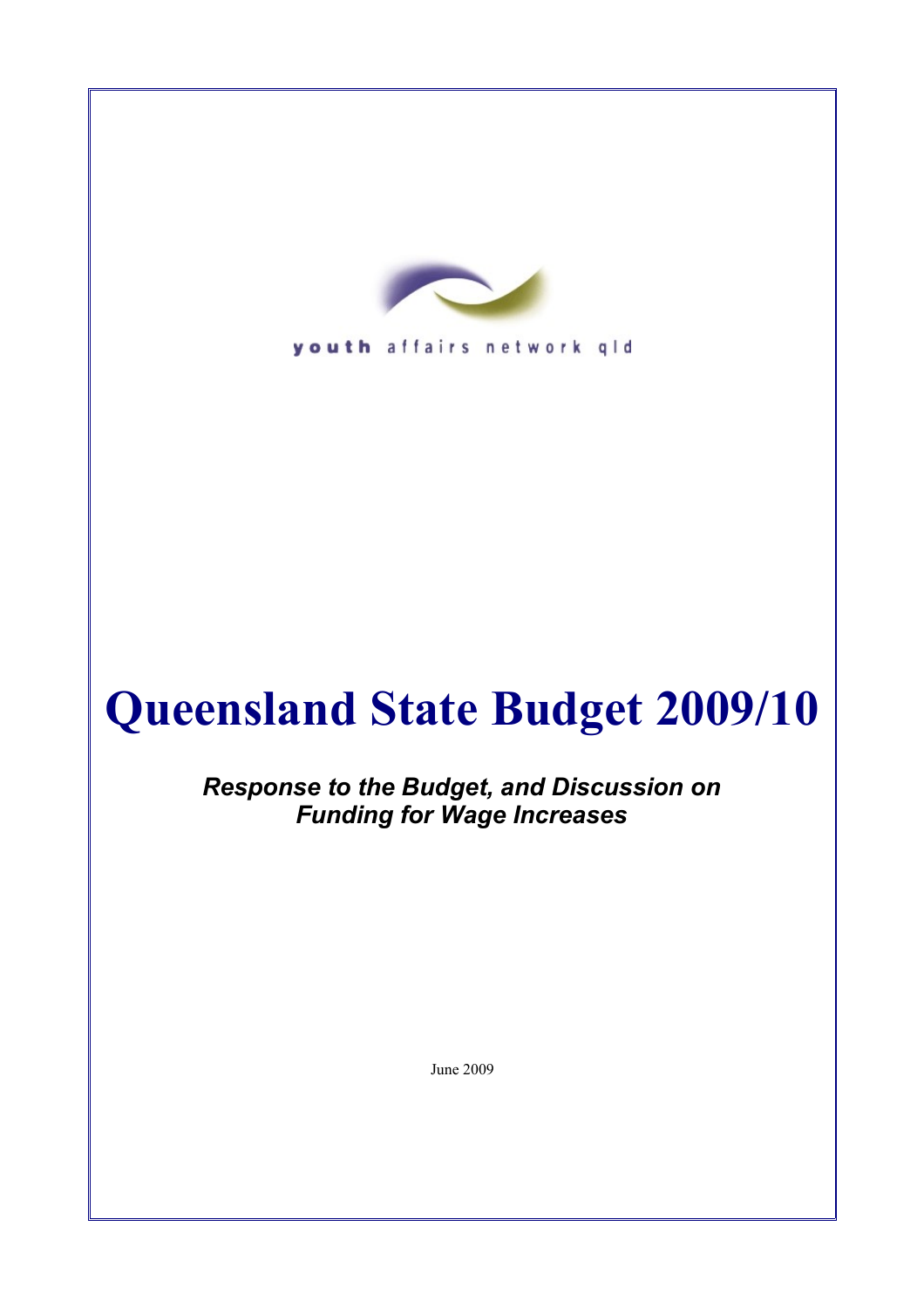

youth affairs network gld

# **Queensland State Budget 2009/10**

*Response to the Budget, and Discussion on Funding for Wage Increases*

June 2009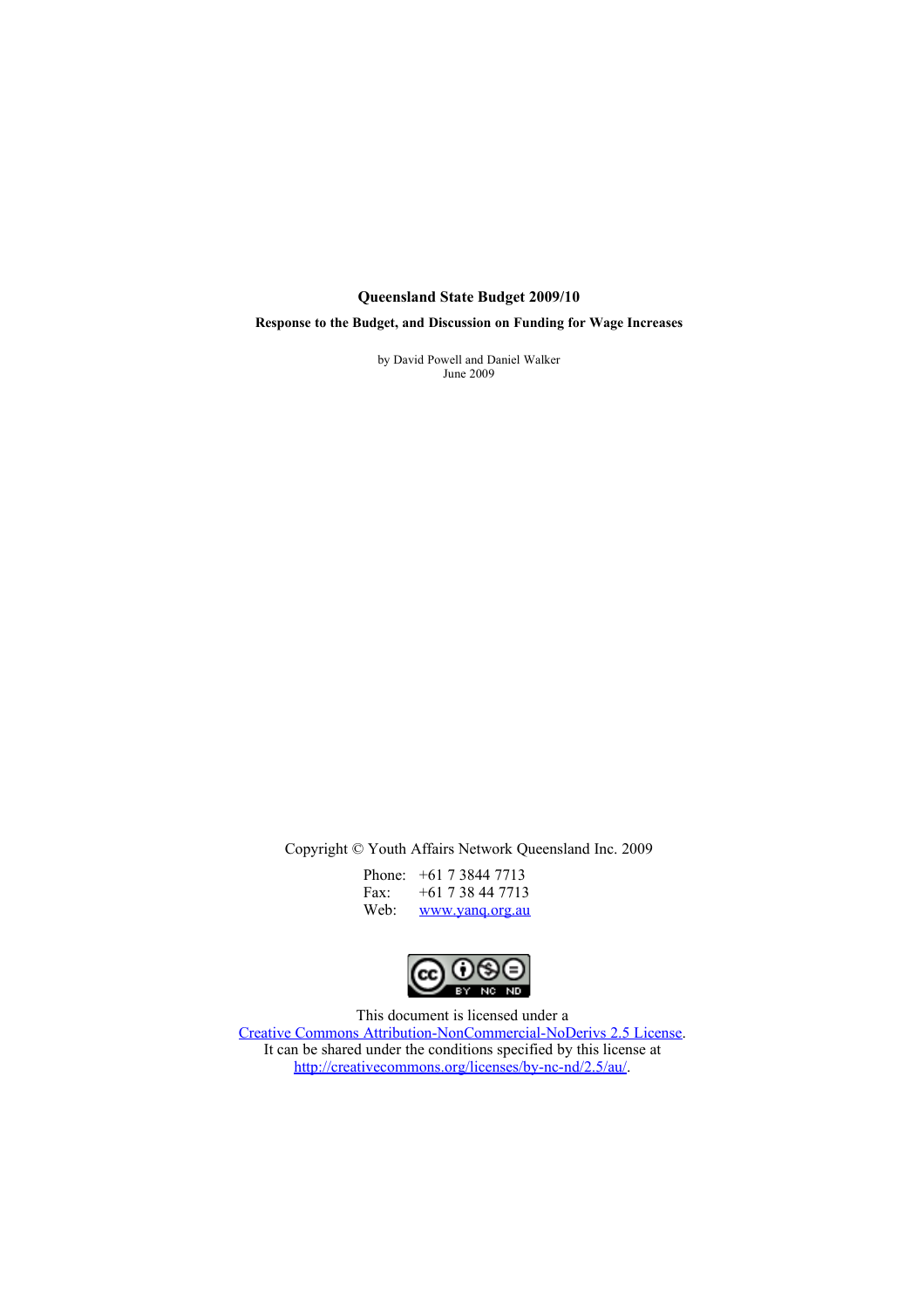#### **Queensland State Budget 2009/10**

**Response to the Budget, and Discussion on Funding for Wage Increases**

by David Powell and Daniel Walker June 2009

Copyright © Youth Affairs Network Queensland Inc. 2009

| Phone:           | $+61$ 7 3844 7713 |
|------------------|-------------------|
| Fax:             | +61 7 38 44 7713  |
| Web <sup>.</sup> | www.yang.org.au   |



This document is licensed under a [Creative Commons Attribution-NonCommercial-NoDerivs 2.5 License.](http://creativecommons.org/licenses/by-nc-nd/2.5/au/) It can be shared under the conditions specified by this license at [http://creativecommons.org/licenses/by-nc-nd/2.5/au/.](http://creativecommons.org/licenses/by-nc-nd/2.5/au/)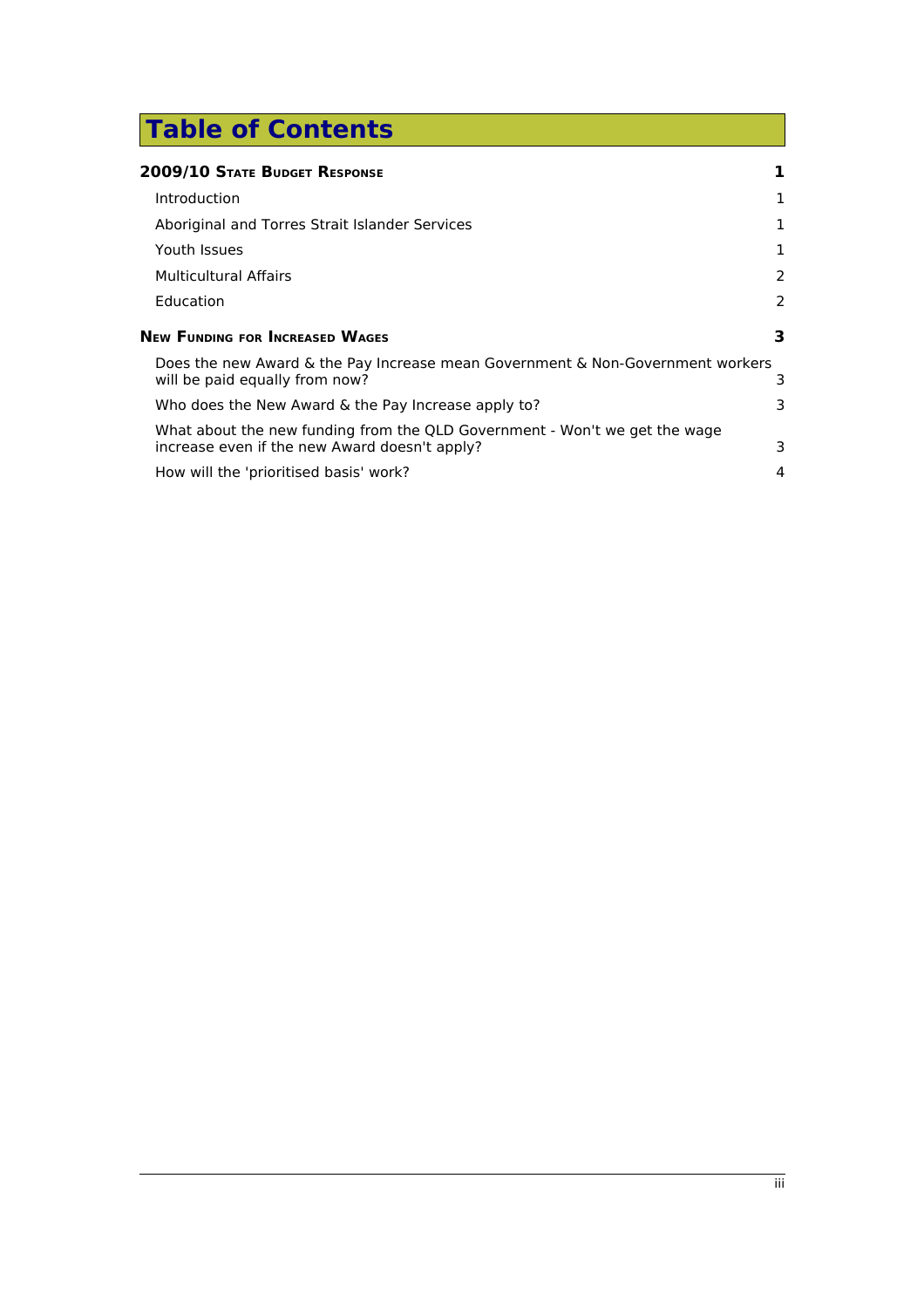# **Table of Contents**

| 2009/10 State Budget Response                                                                                               |   |
|-----------------------------------------------------------------------------------------------------------------------------|---|
| Introduction                                                                                                                | 1 |
| Aboriginal and Torres Strait Islander Services                                                                              | 1 |
| Youth Issues                                                                                                                | 1 |
| <b>Multicultural Affairs</b>                                                                                                | 2 |
| Education                                                                                                                   | 2 |
| <b>New Funding for Increased Wages</b>                                                                                      | 3 |
| Does the new Award & the Pay Increase mean Government & Non-Government workers<br>will be paid equally from now?            | 3 |
| Who does the New Award & the Pay Increase apply to?                                                                         | 3 |
| What about the new funding from the QLD Government - Won't we get the wage<br>increase even if the new Award doesn't apply? | 3 |
| How will the 'prioritised basis' work?                                                                                      | 4 |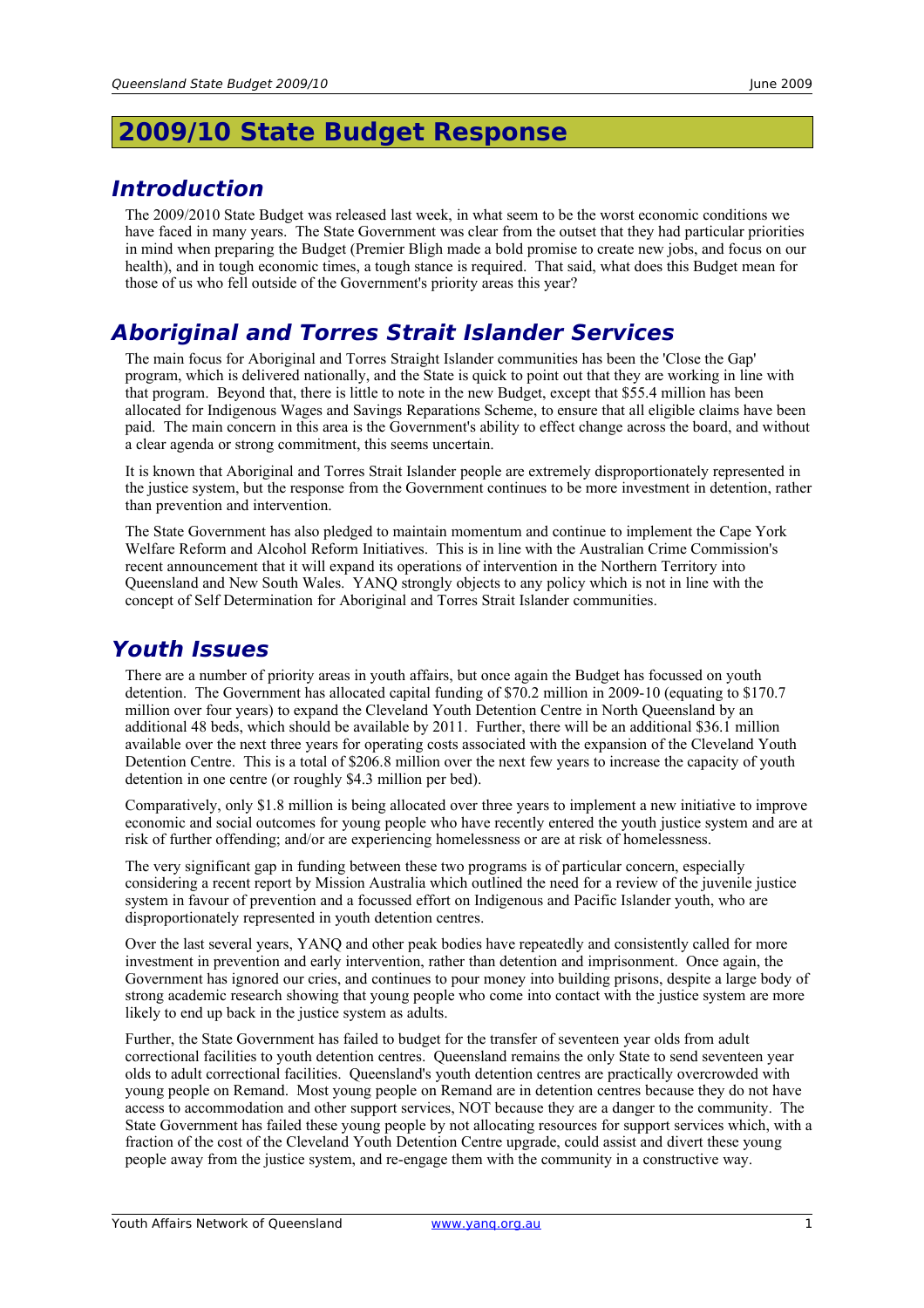### <span id="page-3-0"></span>**2009/10 State Budget Response**

#### <span id="page-3-3"></span>**Introduction**

The 2009/2010 State Budget was released last week, in what seem to be the worst economic conditions we have faced in many years. The State Government was clear from the outset that they had particular priorities in mind when preparing the Budget (Premier Bligh made a bold promise to create new jobs, and focus on our health), and in tough economic times, a tough stance is required. That said, what does this Budget mean for those of us who fell outside of the Government's priority areas this year?

#### <span id="page-3-2"></span>**Aboriginal and Torres Strait Islander Services**

The main focus for Aboriginal and Torres Straight Islander communities has been the 'Close the Gap' program, which is delivered nationally, and the State is quick to point out that they are working in line with that program. Beyond that, there is little to note in the new Budget, except that \$55.4 million has been allocated for Indigenous Wages and Savings Reparations Scheme, to ensure that all eligible claims have been paid. The main concern in this area is the Government's ability to effect change across the board, and without a clear agenda or strong commitment, this seems uncertain.

It is known that Aboriginal and Torres Strait Islander people are extremely disproportionately represented in the justice system, but the response from the Government continues to be more investment in detention, rather than prevention and intervention.

The State Government has also pledged to maintain momentum and continue to implement the Cape York Welfare Reform and Alcohol Reform Initiatives. This is in line with the Australian Crime Commission's recent announcement that it will expand its operations of intervention in the Northern Territory into Queensland and New South Wales. YANQ strongly objects to any policy which is not in line with the concept of Self Determination for Aboriginal and Torres Strait Islander communities.

#### <span id="page-3-1"></span>**Youth Issues**

There are a number of priority areas in youth affairs, but once again the Budget has focussed on youth detention. The Government has allocated capital funding of \$70.2 million in 2009-10 (equating to \$170.7 million over four years) to expand the Cleveland Youth Detention Centre in North Queensland by an additional 48 beds, which should be available by 2011. Further, there will be an additional \$36.1 million available over the next three years for operating costs associated with the expansion of the Cleveland Youth Detention Centre. This is a total of \$206.8 million over the next few years to increase the capacity of youth detention in one centre (or roughly \$4.3 million per bed).

Comparatively, only \$1.8 million is being allocated over three years to implement a new initiative to improve economic and social outcomes for young people who have recently entered the youth justice system and are at risk of further offending; and/or are experiencing homelessness or are at risk of homelessness.

The very significant gap in funding between these two programs is of particular concern, especially considering a recent report by Mission Australia which outlined the need for a review of the juvenile justice system in favour of prevention and a focussed effort on Indigenous and Pacific Islander youth, who are disproportionately represented in youth detention centres.

Over the last several years, YANQ and other peak bodies have repeatedly and consistently called for more investment in prevention and early intervention, rather than detention and imprisonment. Once again, the Government has ignored our cries, and continues to pour money into building prisons, despite a large body of strong academic research showing that young people who come into contact with the justice system are more likely to end up back in the justice system as adults.

Further, the State Government has failed to budget for the transfer of seventeen year olds from adult correctional facilities to youth detention centres. Queensland remains the only State to send seventeen year olds to adult correctional facilities. Queensland's youth detention centres are practically overcrowded with young people on Remand. Most young people on Remand are in detention centres because they do not have access to accommodation and other support services, NOT because they are a danger to the community. The State Government has failed these young people by not allocating resources for support services which, with a fraction of the cost of the Cleveland Youth Detention Centre upgrade, could assist and divert these young people away from the justice system, and re-engage them with the community in a constructive way.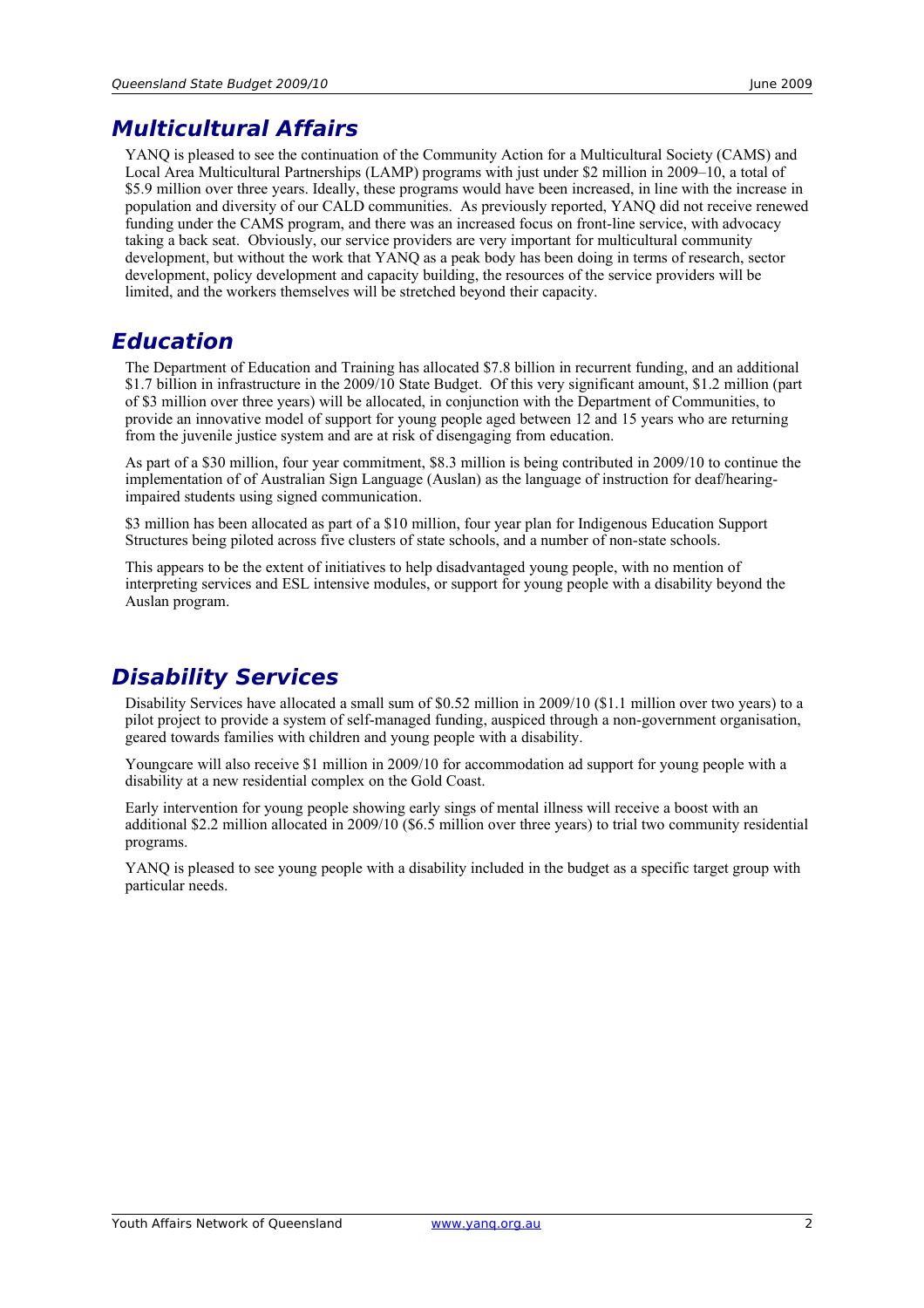#### <span id="page-4-1"></span>**Multicultural Affairs**

YANQ is pleased to see the continuation of the Community Action for a Multicultural Society (CAMS) and Local Area Multicultural Partnerships (LAMP) programs with just under \$2 million in 2009–10, a total of \$5.9 million over three years. Ideally, these programs would have been increased, in line with the increase in population and diversity of our CALD communities. As previously reported, YANQ did not receive renewed funding under the CAMS program, and there was an increased focus on front-line service, with advocacy taking a back seat. Obviously, our service providers are very important for multicultural community development, but without the work that YANQ as a peak body has been doing in terms of research, sector development, policy development and capacity building, the resources of the service providers will be limited, and the workers themselves will be stretched beyond their capacity.

#### <span id="page-4-0"></span>**Education**

The Department of Education and Training has allocated \$7.8 billion in recurrent funding, and an additional \$1.7 billion in infrastructure in the 2009/10 State Budget. Of this very significant amount, \$1.2 million (part of \$3 million over three years) will be allocated, in conjunction with the Department of Communities, to provide an innovative model of support for young people aged between 12 and 15 years who are returning from the juvenile justice system and are at risk of disengaging from education.

As part of a \$30 million, four year commitment, \$8.3 million is being contributed in 2009/10 to continue the implementation of of Australian Sign Language (Auslan) as the language of instruction for deaf/hearingimpaired students using signed communication.

\$3 million has been allocated as part of a \$10 million, four year plan for Indigenous Education Support Structures being piloted across five clusters of state schools, and a number of non-state schools.

This appears to be the extent of initiatives to help disadvantaged young people, with no mention of interpreting services and ESL intensive modules, or support for young people with a disability beyond the Auslan program.

#### **Disability Services**

Disability Services have allocated a small sum of \$0.52 million in 2009/10 (\$1.1 million over two years) to a pilot project to provide a system of self-managed funding, auspiced through a non-government organisation, geared towards families with children and young people with a disability.

Youngcare will also receive \$1 million in 2009/10 for accommodation ad support for young people with a disability at a new residential complex on the Gold Coast.

Early intervention for young people showing early sings of mental illness will receive a boost with an additional \$2.2 million allocated in 2009/10 (\$6.5 million over three years) to trial two community residential programs.

YANQ is pleased to see young people with a disability included in the budget as a specific target group with particular needs.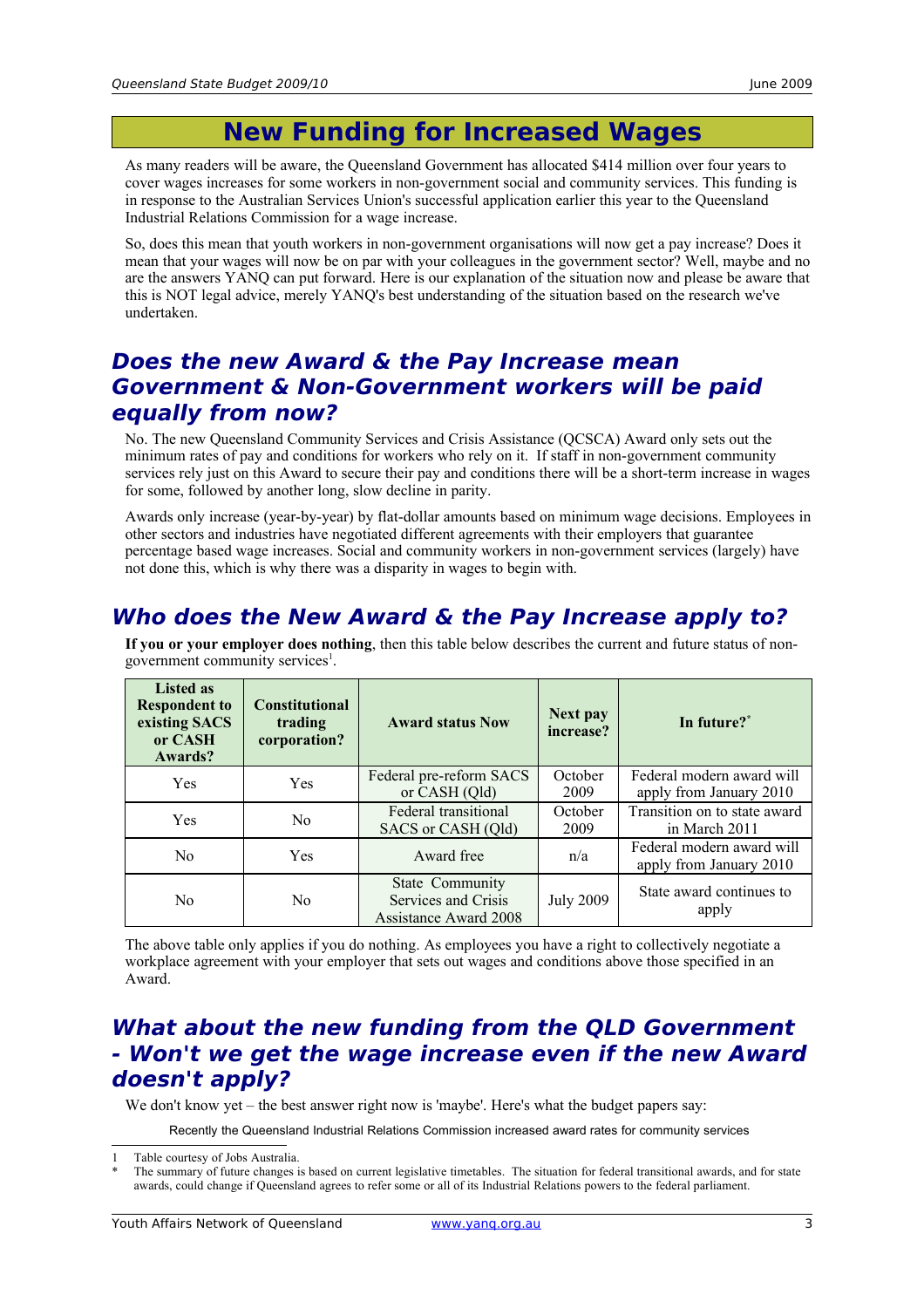## <span id="page-5-3"></span>**New Funding for Increased Wages**

As many readers will be aware, the Queensland Government has allocated \$414 million over four years to cover wages increases for some workers in non-government social and community services. This funding is in response to the Australian Services Union's successful application earlier this year to the Queensland Industrial Relations Commission for a wage increase.

So, does this mean that youth workers in non-government organisations will now get a pay increase? Does it mean that your wages will now be on par with your colleagues in the government sector? Well, maybe and no are the answers YANQ can put forward. Here is our explanation of the situation now and please be aware that this is NOT legal advice, merely YANQ's best understanding of the situation based on the research we've undertaken.

#### <span id="page-5-2"></span>**Does the new Award & the Pay Increase mean Government & Non-Government workers will be paid equally from now?**

No. The new Queensland Community Services and Crisis Assistance (QCSCA) Award only sets out the minimum rates of pay and conditions for workers who rely on it. If staff in non-government community services rely just on this Award to secure their pay and conditions there will be a short-term increase in wages for some, followed by another long, slow decline in parity.

Awards only increase (year-by-year) by flat-dollar amounts based on minimum wage decisions. Employees in other sectors and industries have negotiated different agreements with their employers that guarantee percentage based wage increases. Social and community workers in non-government services (largely) have not done this, which is why there was a disparity in wages to begin with.

#### <span id="page-5-1"></span>**Who does the New Award & the Pay Increase apply to?**

| <b>Listed as</b><br><b>Respondent to</b><br>existing SACS<br>or CASH<br>Awards? | <b>Constitutional</b><br>trading<br>corporation? | <b>Award status Now</b>                                                | Next pay<br>increase? | In future? <sup>*</sup>                              |
|---------------------------------------------------------------------------------|--------------------------------------------------|------------------------------------------------------------------------|-----------------------|------------------------------------------------------|
| Yes                                                                             | <b>Yes</b>                                       | Federal pre-reform SACS<br>or CASH (Qld)                               | October<br>2009       | Federal modern award will<br>apply from January 2010 |
| Yes                                                                             | N <sub>0</sub>                                   | Federal transitional<br>SACS or CASH (Qld)                             | October<br>2009       | Transition on to state award<br>in March 2011        |
| No                                                                              | <b>Yes</b>                                       | Award free                                                             | n/a                   | Federal modern award will<br>apply from January 2010 |
| No                                                                              | N <sub>0</sub>                                   | State Community<br>Services and Crisis<br><b>Assistance Award 2008</b> | <b>July 2009</b>      | State award continues to<br>apply                    |

**If you or your employer does nothing**, then this table below describes the current and future status of non-government community services<sup>[1](#page-5-4)</sup>.

The above table only applies if you do nothing. As employees you have a right to collectively negotiate a workplace agreement with your employer that sets out wages and conditions above those specified in an Award.

#### <span id="page-5-0"></span>**What about the new funding from the QLD Government - Won't we get the wage increase even if the new Award doesn't apply?**

We don't know yet – the best answer right now is 'maybe'. Here's what the budget papers say:

Recently the Queensland Industrial Relations Commission increased award rates for community services

<span id="page-5-4"></span><sup>1</sup> Table courtesy of Jobs Australia.

<span id="page-5-5"></span>The summary of future changes is based on current legislative timetables. The situation for federal transitional awards, and for state awards, could change if Queensland agrees to refer some or all of its Industrial Relations powers to the federal parliament.